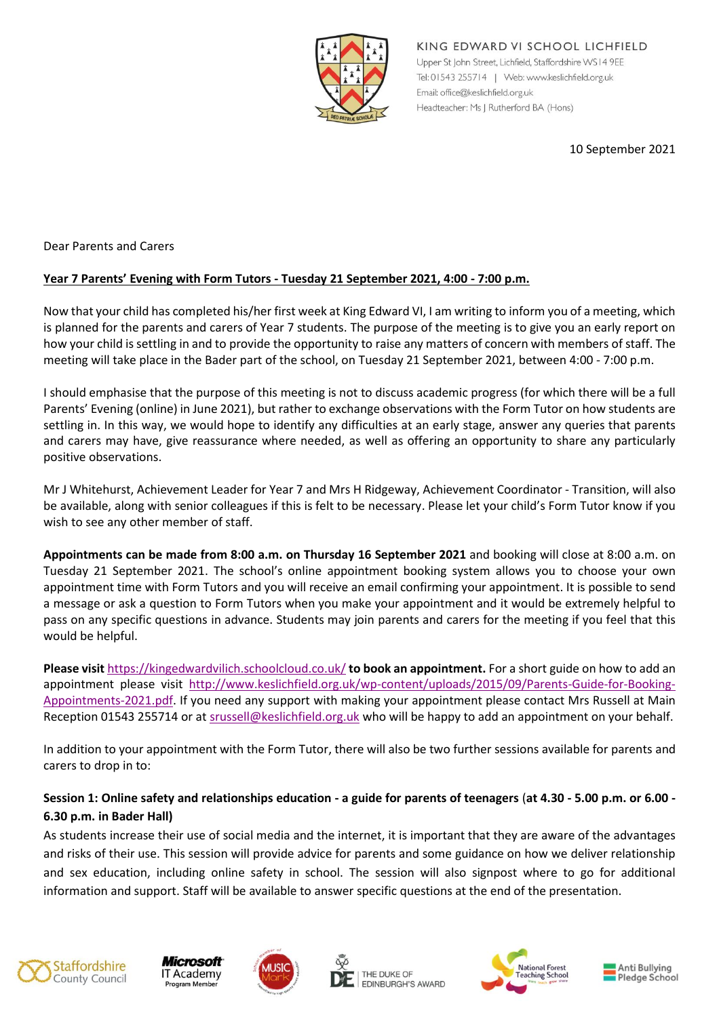

KING EDWARD VI SCHOOL LICHFIELD Upper St John Street, Lichfield, Staffordshire WS14 9EE Tel: 01543 255714 | Web: www.keslichfield.org.uk Email: office@keslichfield.org.uk Headteacher: Ms J Rutherford BA (Hons)

10 September 2021

Dear Parents and Carers

## **Year 7 Parents' Evening with Form Tutors - Tuesday 21 September 2021, 4:00 - 7:00 p.m.**

Now that your child has completed his/her first week at King Edward VI, I am writing to inform you of a meeting, which is planned for the parents and carers of Year 7 students. The purpose of the meeting is to give you an early report on how your child is settling in and to provide the opportunity to raise any matters of concern with members of staff. The meeting will take place in the Bader part of the school, on Tuesday 21 September 2021, between 4:00 - 7:00 p.m.

I should emphasise that the purpose of this meeting is not to discuss academic progress (for which there will be a full Parents' Evening (online) in June 2021), but rather to exchange observations with the Form Tutor on how students are settling in. In this way, we would hope to identify any difficulties at an early stage, answer any queries that parents and carers may have, give reassurance where needed, as well as offering an opportunity to share any particularly positive observations.

Mr J Whitehurst, Achievement Leader for Year 7 and Mrs H Ridgeway, Achievement Coordinator - Transition, will also be available, along with senior colleagues if this is felt to be necessary. Please let your child's Form Tutor know if you wish to see any other member of staff.

**Appointments can be made from 8:00 a.m. on Thursday 16 September 2021** and booking will close at 8:00 a.m. on Tuesday 21 September 2021. The school's online appointment booking system allows you to choose your own appointment time with Form Tutors and you will receive an email confirming your appointment. It is possible to send a message or ask a question to Form Tutors when you make your appointment and it would be extremely helpful to pass on any specific questions in advance. Students may join parents and carers for the meeting if you feel that this would be helpful.

**Please visit** <https://kingedwardvilich.schoolcloud.co.uk/> **to book an appointment.** For a short guide on how to add an appointment please visit [http://www.keslichfield.org.uk/wp-content/uploads/2015/09/Parents-Guide-for-Booking-](http://www.keslichfield.org.uk/wp-content/uploads/2015/09/Parents-Guide-for-Booking-Appointments-2021.pdf)[Appointments-2021.pdf.](http://www.keslichfield.org.uk/wp-content/uploads/2015/09/Parents-Guide-for-Booking-Appointments-2021.pdf) If you need any support with making your appointment please contact Mrs Russell at Main Reception 01543 255714 or a[t srussell@keslichfield.org.uk](mailto:srussell@keslichfield.org.uk) who will be happy to add an appointment on your behalf.

In addition to your appointment with the Form Tutor, there will also be two further sessions available for parents and carers to drop in to:

## **Session 1: Online safety and relationships education - a guide for parents of teenagers** (**at 4.30 - 5.00 p.m. or 6.00 - 6.30 p.m. in Bader Hall)**

As students increase their use of social media and the internet, it is important that they are aware of the advantages and risks of their use. This session will provide advice for parents and some guidance on how we deliver relationship and sex education, including online safety in school. The session will also signpost where to go for additional information and support. Staff will be available to answer specific questions at the end of the presentation.